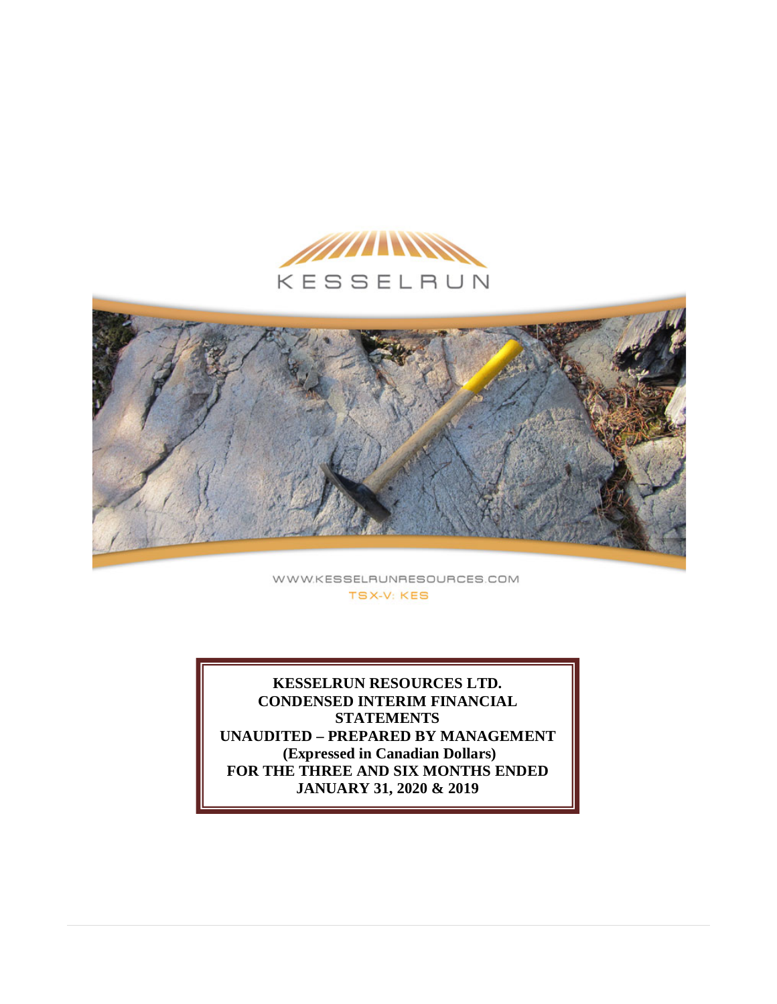



WWW.KESSELRUNRESOURCES.COM **TSX-V: KES** 

**KESSELRUN RESOURCES LTD. CONDENSED INTERIM FINANCIAL STATEMENTS UNAUDITED – PREPARED BY MANAGEMENT (Expressed in Canadian Dollars) FOR THE THREE AND SIX MONTHS ENDED JANUARY 31, 2020 & 2019**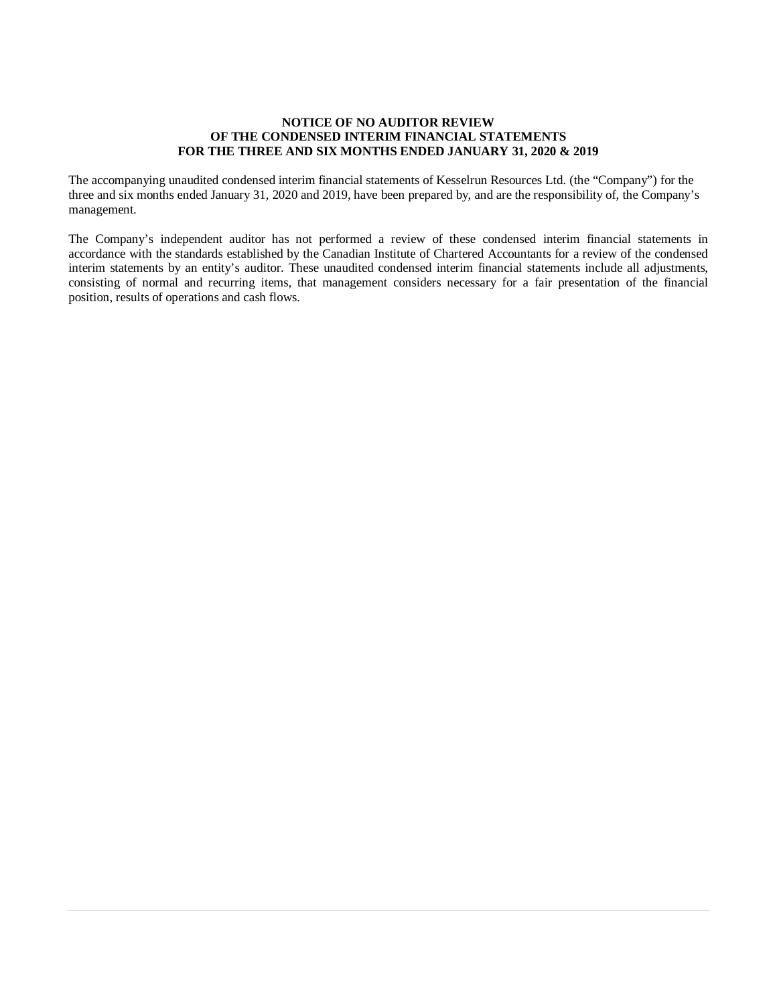### **NOTICE OF NO AUDITOR REVIEW OF THE CONDENSED INTERIM FINANCIAL STATEMENTS FOR THE THREE AND SIX MONTHS ENDED JANUARY 31, 2020 & 2019**

The accompanying unaudited condensed interim financial statements of Kesselrun Resources Ltd. (the "Company") for the three and six months ended January 31, 2020 and 2019, have been prepared by, and are the responsibility of, the Company's management.

The Company's independent auditor has not performed a review of these condensed interim financial statements in accordance with the standards established by the Canadian Institute of Chartered Accountants for a review of the condensed interim statements by an entity's auditor. These unaudited condensed interim financial statements include all adjustments, consisting of normal and recurring items, that management considers necessary for a fair presentation of the financial position, results of operations and cash flows.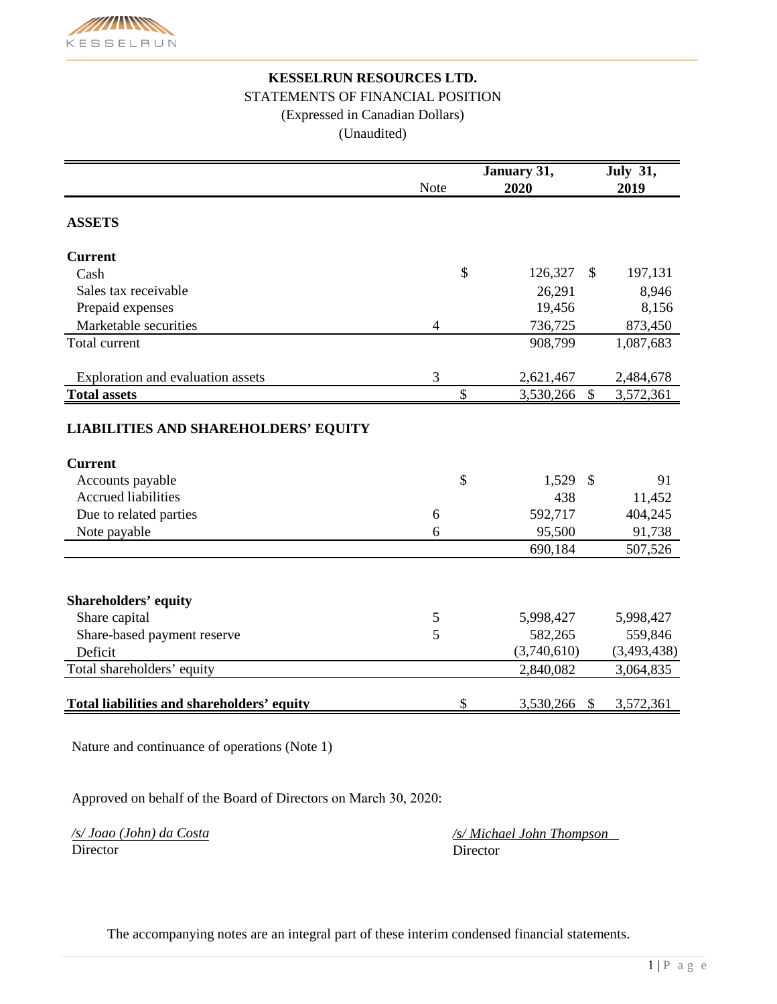

# **KESSELRUN RESOURCES LTD.** STATEMENTS OF FINANCIAL POSITION (Expressed in Canadian Dollars) (Unaudited)

|                                            |      | January 31, |             |               | <b>July 31,</b> |
|--------------------------------------------|------|-------------|-------------|---------------|-----------------|
|                                            | Note |             | 2020        |               | 2019            |
| <b>ASSETS</b>                              |      |             |             |               |                 |
| <b>Current</b>                             |      |             |             |               |                 |
| Cash                                       |      | \$          | 126,327     | \$            | 197,131         |
| Sales tax receivable                       |      |             | 26,291      |               | 8,946           |
| Prepaid expenses                           |      |             | 19,456      |               | 8,156           |
| Marketable securities                      | 4    |             | 736,725     |               | 873,450         |
| Total current                              |      |             | 908,799     |               | 1,087,683       |
| Exploration and evaluation assets          | 3    |             | 2,621,467   |               | 2,484,678       |
| <b>Total assets</b>                        |      | \$          | 3,530,266   | \$            | 3,572,361       |
| <b>Current</b>                             |      |             |             |               |                 |
| Accounts payable                           |      | \$          | 1,529       | $\mathcal{S}$ | 91              |
| <b>Accrued liabilities</b>                 |      |             | 438         |               | 11,452          |
| Due to related parties                     | 6    |             | 592,717     |               | 404,245         |
| Note payable                               | 6    |             | 95,500      |               | 91,738          |
|                                            |      |             | 690,184     |               | 507,526         |
|                                            |      |             |             |               |                 |
| <b>Shareholders' equity</b>                |      |             |             |               |                 |
| Share capital                              | 5    |             | 5,998,427   |               | 5,998,427       |
| Share-based payment reserve                | 5    |             | 582,265     |               | 559,846         |
| Deficit                                    |      |             | (3,740,610) |               | (3,493,438)     |
| Total shareholders' equity                 |      |             | 2,840,082   |               | 3,064,835       |
| Total liabilities and shareholders' equity |      | \$          | 3,530,266   | \$            | 3,572,361       |

Nature and continuance of operations (Note 1)

Approved on behalf of the Board of Directors on March 30, 2020:

*/s/ Joao (John) da Costa*

*/s/ Michael John Thompson* 

Director Director

The accompanying notes are an integral part of these interim condensed financial statements.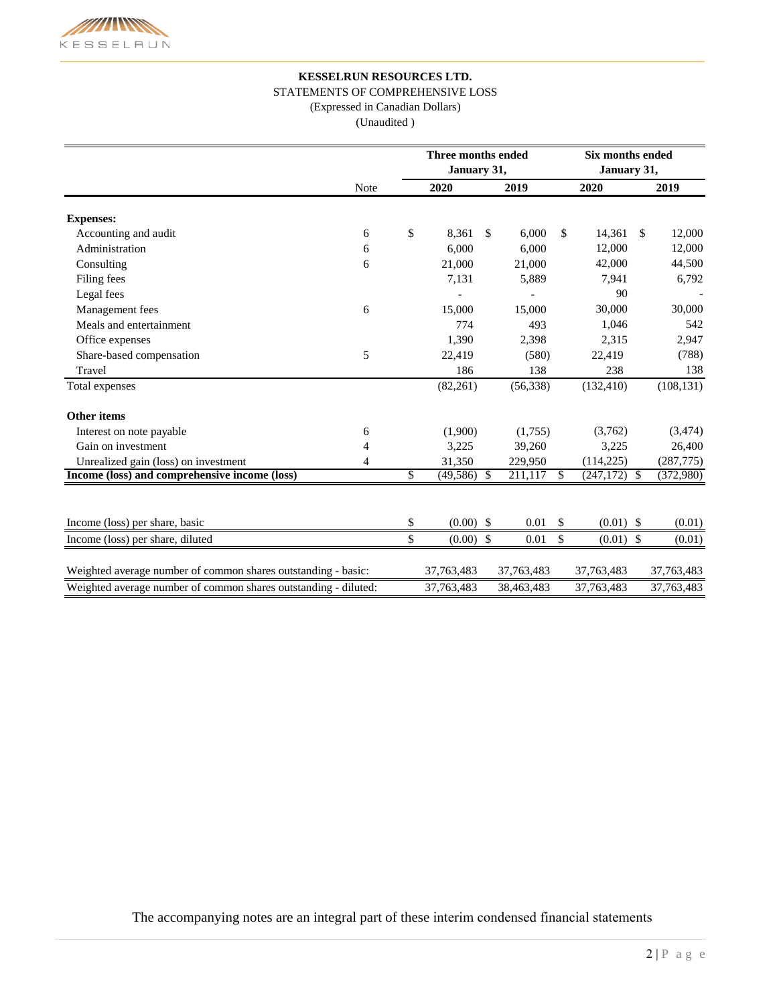

## **KESSELRUN RESOURCES LTD.**

# STATEMENTS OF COMPREHENSIVE LOSS

(Expressed in Canadian Dollars)

(Unaudited )

|                                                                 |      |      | Three months ended<br>January 31, |               |            | <b>Six months ended</b><br>January 31, |                 |              |            |
|-----------------------------------------------------------------|------|------|-----------------------------------|---------------|------------|----------------------------------------|-----------------|--------------|------------|
|                                                                 | Note |      | 2020                              |               | 2019       |                                        | 2020            |              | 2019       |
| <b>Expenses:</b>                                                |      |      |                                   |               |            |                                        |                 |              |            |
| Accounting and audit                                            | 6    | $\$$ | 8,361                             | \$            | 6,000      | \$                                     | 14,361          | $\mathbb{S}$ | 12,000     |
| Administration                                                  | 6    |      | 6,000                             |               | 6.000      |                                        | 12,000          |              | 12,000     |
| Consulting                                                      | 6    |      | 21,000                            |               | 21,000     |                                        | 42,000          |              | 44,500     |
| Filing fees                                                     |      |      | 7,131                             |               | 5,889      |                                        | 7,941           |              | 6,792      |
| Legal fees                                                      |      |      |                                   |               |            |                                        | 90              |              |            |
| Management fees                                                 | 6    |      | 15,000                            |               | 15,000     |                                        | 30,000          |              | 30,000     |
| Meals and entertainment                                         |      |      | 774                               |               | 493        |                                        | 1,046           |              | 542        |
| Office expenses                                                 |      |      | 1,390                             |               | 2,398      |                                        | 2,315           |              | 2,947      |
| Share-based compensation                                        | 5    |      | 22,419                            |               | (580)      |                                        | 22,419          |              | (788)      |
| Travel                                                          |      |      | 186                               |               | 138        |                                        | 238             |              | 138        |
| Total expenses                                                  |      |      | (82,261)                          |               | (56, 338)  |                                        | (132, 410)      |              | (108, 131) |
| Other items                                                     |      |      |                                   |               |            |                                        |                 |              |            |
| Interest on note payable                                        | 6    |      | (1,900)                           |               | (1,755)    |                                        | (3,762)         |              | (3, 474)   |
| Gain on investment                                              | 4    |      | 3,225                             |               | 39,260     |                                        | 3,225           |              | 26,400     |
| Unrealized gain (loss) on investment                            | 4    |      | 31,350                            |               | 229,950    |                                        | (114, 225)      |              | (287, 775) |
| Income (loss) and comprehensive income (loss)                   |      | \$   | (49, 586)                         | -S            | 211,117    | <sup>\$</sup>                          | $(247, 172)$ \$ |              | (372,980)  |
|                                                                 |      |      |                                   |               |            |                                        |                 |              |            |
| Income (loss) per share, basic                                  |      | \$   | $(0.00)$ \$                       |               | 0.01       | $\mathcal{S}$                          | $(0.01)$ \$     |              | (0.01)     |
| Income (loss) per share, diluted                                |      | \$   | (0.00)                            | $\mathcal{S}$ | 0.01       | \$                                     | $(0.01)$ \$     |              | (0.01)     |
| Weighted average number of common shares outstanding - basic:   |      |      | 37, 763, 483                      |               | 37,763,483 |                                        | 37,763,483      |              | 37,763,483 |
| Weighted average number of common shares outstanding - diluted: |      |      | 37,763,483                        |               | 38,463,483 |                                        | 37,763,483      |              | 37,763,483 |

The accompanying notes are an integral part of these interim condensed financial statements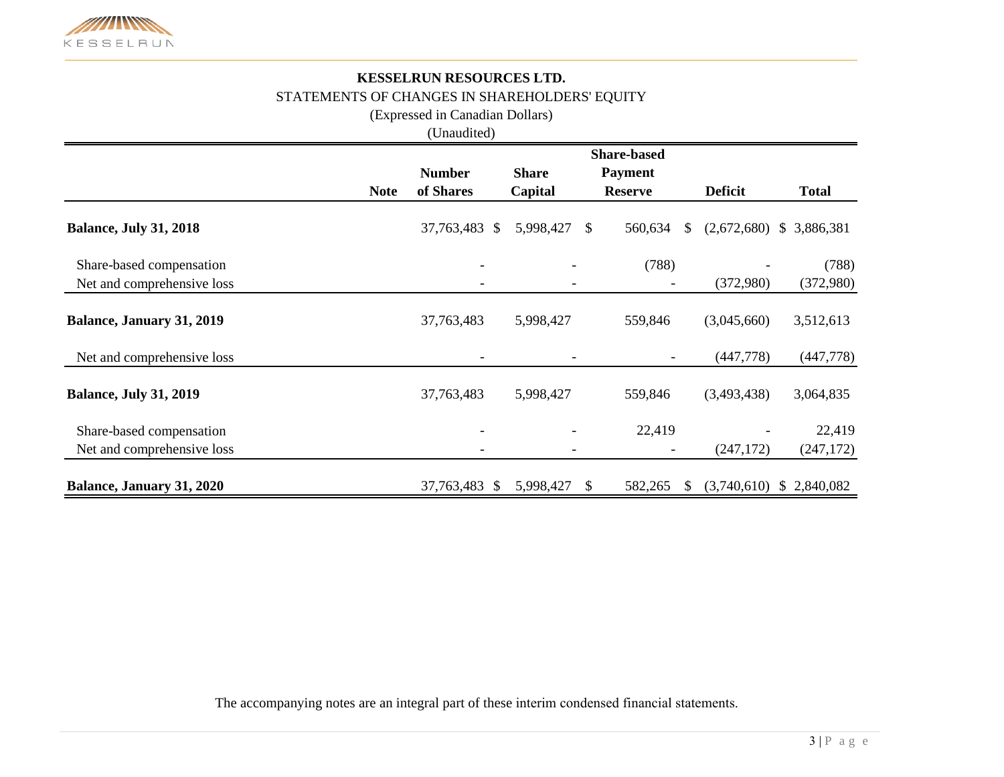

# **KESSELRUN RESOURCES LTD.** STATEMENTS OF CHANGES IN SHAREHOLDERS' EQUITY

(Expressed in Canadian Dollars)

(Unaudited)

|                                  |             |                            |              |               | <b>Share-based</b>       |                             |              |
|----------------------------------|-------------|----------------------------|--------------|---------------|--------------------------|-----------------------------|--------------|
|                                  |             | <b>Number</b>              | <b>Share</b> |               | <b>Payment</b>           |                             |              |
|                                  | <b>Note</b> | of Shares                  | Capital      |               | <b>Reserve</b>           | <b>Deficit</b>              | <b>Total</b> |
| <b>Balance, July 31, 2018</b>    |             | 37,763,483<br>$\mathbb{S}$ | 5,998,427    | <sup>\$</sup> | 560,634                  | (2,672,680)<br>$\mathbb{S}$ | \$3,886,381  |
| Share-based compensation         |             |                            |              |               | (788)                    |                             | (788)        |
| Net and comprehensive loss       |             |                            |              |               | $\overline{\phantom{a}}$ | (372,980)                   | (372,980)    |
| <b>Balance, January 31, 2019</b> |             | 37,763,483                 | 5,998,427    |               | 559,846                  | (3,045,660)                 | 3,512,613    |
| Net and comprehensive loss       |             |                            |              |               |                          | (447,778)                   | (447,778)    |
| <b>Balance, July 31, 2019</b>    |             | 37,763,483                 | 5,998,427    |               | 559,846                  | (3,493,438)                 | 3,064,835    |
| Share-based compensation         |             |                            |              |               | 22,419                   |                             | 22,419       |
| Net and comprehensive loss       |             | $\overline{\phantom{a}}$   |              |               |                          | (247, 172)                  | (247, 172)   |
| <b>Balance, January 31, 2020</b> |             | 37,763,483 \$              | 5,998,427    | $\mathbb{S}$  | 582,265                  | (3,740,610)<br><sup>S</sup> | \$2,840,082  |

The accompanying notes are an integral part of these interim condensed financial statements.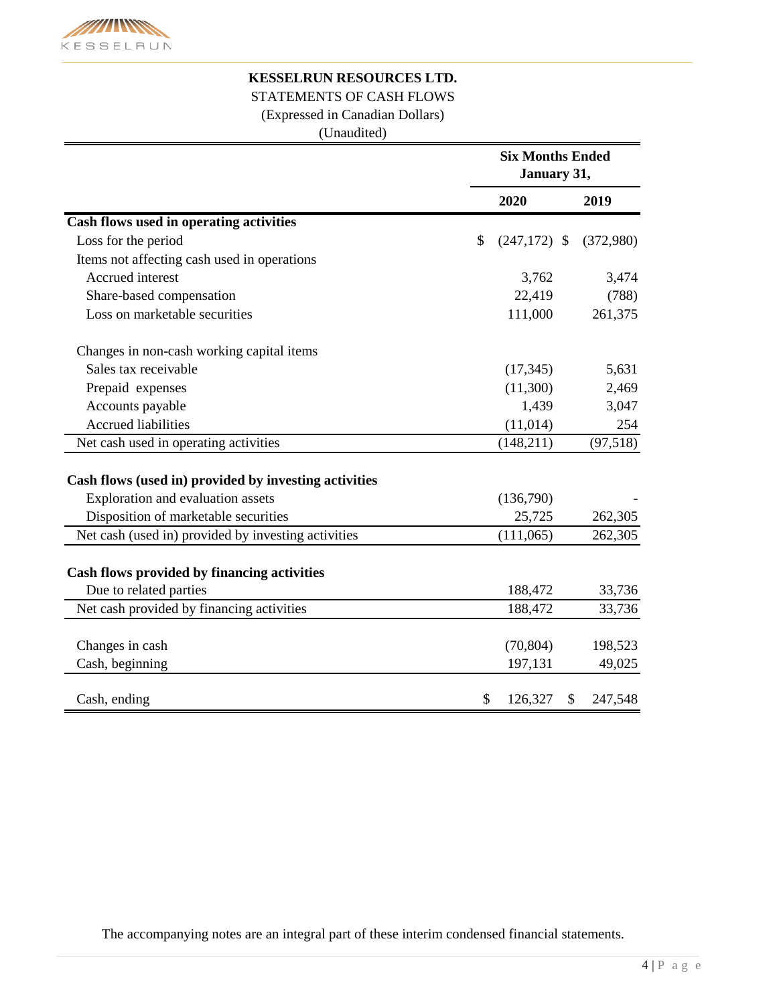

# **KESSELRUN RESOURCES LTD.**

STATEMENTS OF CASH FLOWS

(Expressed in Canadian Dollars)

(Unaudited)

|                                                       | <b>Six Months Ended</b><br>January 31, |    |           |  |
|-------------------------------------------------------|----------------------------------------|----|-----------|--|
|                                                       | 2020                                   |    | 2019      |  |
| Cash flows used in operating activities               |                                        |    |           |  |
| Loss for the period                                   | \$<br>$(247,172)$ \$                   |    | (372,980) |  |
| Items not affecting cash used in operations           |                                        |    |           |  |
| Accrued interest                                      | 3,762                                  |    | 3,474     |  |
| Share-based compensation                              | 22,419                                 |    | (788)     |  |
| Loss on marketable securities                         | 111,000                                |    | 261,375   |  |
| Changes in non-cash working capital items             |                                        |    |           |  |
| Sales tax receivable                                  | (17, 345)                              |    | 5,631     |  |
| Prepaid expenses                                      | (11,300)                               |    | 2,469     |  |
| Accounts payable                                      | 1,439                                  |    | 3,047     |  |
| <b>Accrued liabilities</b>                            | (11, 014)                              |    | 254       |  |
| Net cash used in operating activities                 | (148,211)                              |    | (97, 518) |  |
| Cash flows (used in) provided by investing activities |                                        |    |           |  |
| Exploration and evaluation assets                     | (136,790)                              |    |           |  |
| Disposition of marketable securities                  | 25,725                                 |    | 262,305   |  |
| Net cash (used in) provided by investing activities   | (111,065)                              |    | 262,305   |  |
| Cash flows provided by financing activities           |                                        |    |           |  |
| Due to related parties                                | 188,472                                |    | 33,736    |  |
| Net cash provided by financing activities             | 188,472                                |    | 33,736    |  |
| Changes in cash                                       | (70, 804)                              |    | 198,523   |  |
| Cash, beginning                                       | 197,131                                |    | 49,025    |  |
| Cash, ending                                          | \$<br>126,327                          | \$ | 247,548   |  |

The accompanying notes are an integral part of these interim condensed financial statements.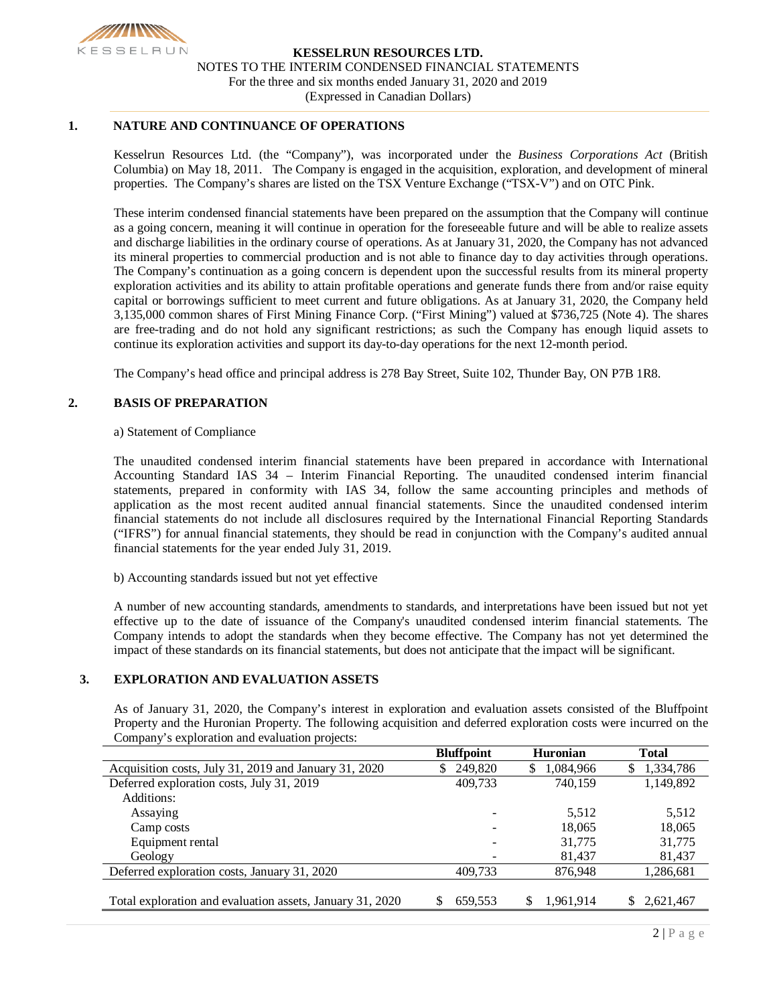

## **1. NATURE AND CONTINUANCE OF OPERATIONS**

Kesselrun Resources Ltd. (the "Company"), was incorporated under the *Business Corporations Act* (British Columbia) on May 18, 2011. The Company is engaged in the acquisition, exploration, and development of mineral properties. The Company's shares are listed on the TSX Venture Exchange ("TSX-V") and on OTC Pink.

These interim condensed financial statements have been prepared on the assumption that the Company will continue as a going concern, meaning it will continue in operation for the foreseeable future and will be able to realize assets and discharge liabilities in the ordinary course of operations. As at January 31, 2020, the Company has not advanced its mineral properties to commercial production and is not able to finance day to day activities through operations. The Company's continuation as a going concern is dependent upon the successful results from its mineral property exploration activities and its ability to attain profitable operations and generate funds there from and/or raise equity capital or borrowings sufficient to meet current and future obligations. As at January 31, 2020, the Company held 3,135,000 common shares of First Mining Finance Corp. ("First Mining") valued at \$736,725 (Note 4). The shares are free-trading and do not hold any significant restrictions; as such the Company has enough liquid assets to continue its exploration activities and support its day-to-day operations for the next 12-month period.

The Company's head office and principal address is 278 Bay Street, Suite 102, Thunder Bay, ON P7B 1R8.

### **2. BASIS OF PREPARATION**

### a) Statement of Compliance

The unaudited condensed interim financial statements have been prepared in accordance with International Accounting Standard IAS 34 – Interim Financial Reporting. The unaudited condensed interim financial statements, prepared in conformity with IAS 34, follow the same accounting principles and methods of application as the most recent audited annual financial statements. Since the unaudited condensed interim financial statements do not include all disclosures required by the International Financial Reporting Standards ("IFRS") for annual financial statements, they should be read in conjunction with the Company's audited annual financial statements for the year ended July 31, 2019.

b) Accounting standards issued but not yet effective

A number of new accounting standards, amendments to standards, and interpretations have been issued but not yet effective up to the date of issuance of the Company's unaudited condensed interim financial statements. The Company intends to adopt the standards when they become effective. The Company has not yet determined the impact of these standards on its financial statements, but does not anticipate that the impact will be significant.

### **3. EXPLORATION AND EVALUATION ASSETS**

As of January 31, 2020, the Company's interest in exploration and evaluation assets consisted of the Bluffpoint Property and the Huronian Property. The following acquisition and deferred exploration costs were incurred on the Company's exploration and evaluation projects:

|                                                           | <b>Bluffpoint</b> | <b>Huronian</b> | <b>Total</b>     |
|-----------------------------------------------------------|-------------------|-----------------|------------------|
| Acquisition costs, July 31, 2019 and January 31, 2020     | 249,820<br>S.     | 1,084,966<br>S  | 1,334,786<br>SУ. |
| Deferred exploration costs, July 31, 2019                 | 409,733           | 740,159         | 1,149,892        |
| Additions:                                                |                   |                 |                  |
| Assaying                                                  |                   | 5,512           | 5,512            |
| Camp costs                                                |                   | 18,065          | 18,065           |
| Equipment rental                                          |                   | 31,775          | 31,775           |
| Geology                                                   |                   | 81,437          | 81,437           |
| Deferred exploration costs, January 31, 2020              | 409,733           | 876,948         | 1,286,681        |
|                                                           |                   |                 |                  |
| Total exploration and evaluation assets, January 31, 2020 | 659,553           | S<br>1,961,914  | 2,621,467        |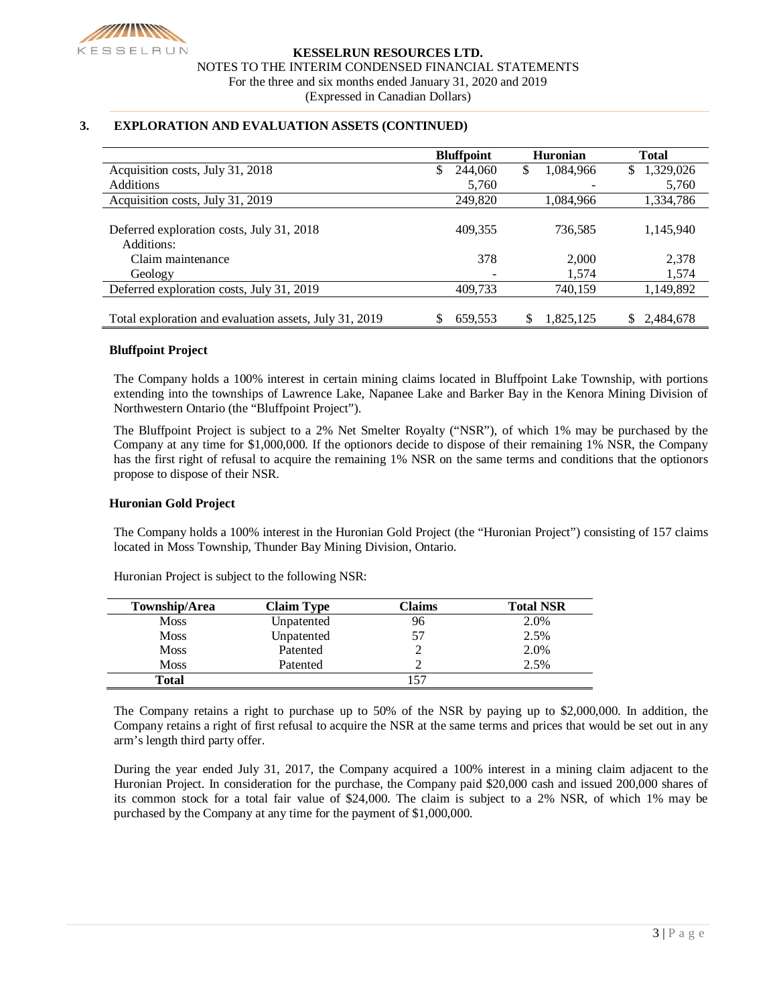

### **3. EXPLORATION AND EVALUATION ASSETS (CONTINUED)**

|                                                        | <b>Bluffpoint</b> | <b>Huronian</b> | <b>Total</b>    |
|--------------------------------------------------------|-------------------|-----------------|-----------------|
| Acquisition costs, July 31, 2018                       | 244,060<br>S      | \$<br>1,084,966 | 1,329,026<br>S. |
| <b>Additions</b>                                       | 5,760             |                 | 5,760           |
| Acquisition costs, July 31, 2019                       | 249,820           | 1,084,966       | 1,334,786       |
|                                                        |                   |                 |                 |
| Deferred exploration costs, July 31, 2018              | 409,355           | 736,585         | 1,145,940       |
| Additions:                                             |                   |                 |                 |
| Claim maintenance                                      | 378               | 2.000           | 2,378           |
| Geology                                                |                   | 1.574           | 1,574           |
| Deferred exploration costs, July 31, 2019              | 409,733           | 740,159         | 1,149,892       |
|                                                        |                   |                 |                 |
| Total exploration and evaluation assets, July 31, 2019 | 659,553           | \$<br>1,825,125 | 2,484,678       |

### **Bluffpoint Project**

The Company holds a 100% interest in certain mining claims located in Bluffpoint Lake Township, with portions extending into the townships of Lawrence Lake, Napanee Lake and Barker Bay in the Kenora Mining Division of Northwestern Ontario (the "Bluffpoint Project").

The Bluffpoint Project is subject to a 2% Net Smelter Royalty ("NSR"), of which 1% may be purchased by the Company at any time for \$1,000,000. If the optionors decide to dispose of their remaining 1% NSR, the Company has the first right of refusal to acquire the remaining 1% NSR on the same terms and conditions that the optionors propose to dispose of their NSR.

### **Huronian Gold Project**

The Company holds a 100% interest in the Huronian Gold Project (the "Huronian Project") consisting of 157 claims located in Moss Township, Thunder Bay Mining Division, Ontario.

| <b>Township/Area</b> | <b>Claim Type</b> | Claims | <b>Total NSR</b> |
|----------------------|-------------------|--------|------------------|
| <b>Moss</b>          | Unpatented        | 96     | 2.0%             |
| <b>Moss</b>          | Unpatented        | 57     | 2.5%             |
| <b>Moss</b>          | Patented          |        | 2.0%             |
| <b>Moss</b>          | Patented          |        | 2.5%             |
| Total                |                   |        |                  |

Huronian Project is subject to the following NSR:

The Company retains a right to purchase up to 50% of the NSR by paying up to \$2,000,000. In addition, the Company retains a right of first refusal to acquire the NSR at the same terms and prices that would be set out in any arm's length third party offer.

During the year ended July 31, 2017, the Company acquired a 100% interest in a mining claim adjacent to the Huronian Project. In consideration for the purchase, the Company paid \$20,000 cash and issued 200,000 shares of its common stock for a total fair value of \$24,000. The claim is subject to a 2% NSR, of which 1% may be purchased by the Company at any time for the payment of \$1,000,000.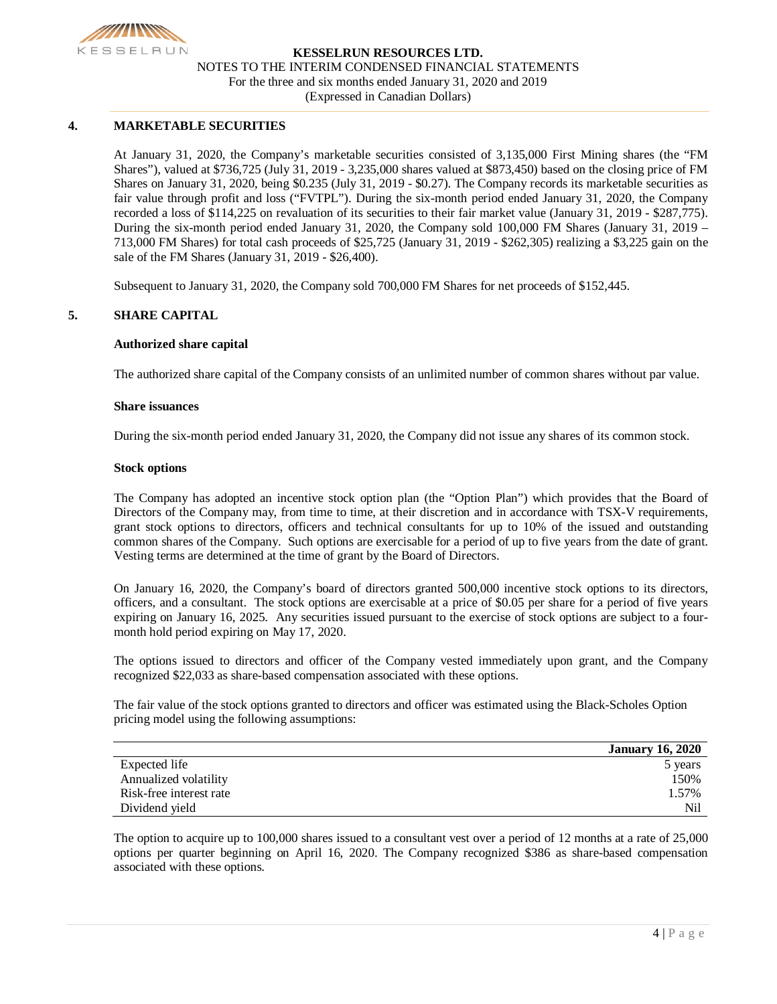

### **4. MARKETABLE SECURITIES**

At January 31, 2020, the Company's marketable securities consisted of 3,135,000 First Mining shares (the "FM Shares"), valued at \$736,725 (July 31, 2019 - 3,235,000 shares valued at \$873,450) based on the closing price of FM Shares on January 31, 2020, being \$0.235 (July 31, 2019 - \$0.27). The Company records its marketable securities as fair value through profit and loss ("FVTPL"). During the six-month period ended January 31, 2020, the Company recorded a loss of \$114,225 on revaluation of its securities to their fair market value (January 31, 2019 - \$287,775). During the six-month period ended January 31, 2020, the Company sold 100,000 FM Shares (January 31, 2019 – 713,000 FM Shares) for total cash proceeds of \$25,725 (January 31, 2019 - \$262,305) realizing a \$3,225 gain on the sale of the FM Shares (January 31, 2019 - \$26,400).

Subsequent to January 31, 2020, the Company sold 700,000 FM Shares for net proceeds of \$152,445.

### **5. SHARE CAPITAL**

#### **Authorized share capital**

The authorized share capital of the Company consists of an unlimited number of common shares without par value.

### **Share issuances**

During the six-month period ended January 31, 2020, the Company did not issue any shares of its common stock.

#### **Stock options**

The Company has adopted an incentive stock option plan (the "Option Plan") which provides that the Board of Directors of the Company may, from time to time, at their discretion and in accordance with TSX-V requirements, grant stock options to directors, officers and technical consultants for up to 10% of the issued and outstanding common shares of the Company. Such options are exercisable for a period of up to five years from the date of grant. Vesting terms are determined at the time of grant by the Board of Directors.

On January 16, 2020, the Company's board of directors granted 500,000 incentive stock options to its directors, officers, and a consultant. The stock options are exercisable at a price of \$0.05 per share for a period of five years expiring on January 16, 2025. Any securities issued pursuant to the exercise of stock options are subject to a fourmonth hold period expiring on May 17, 2020.

The options issued to directors and officer of the Company vested immediately upon grant, and the Company recognized \$22,033 as share-based compensation associated with these options.

The fair value of the stock options granted to directors and officer was estimated using the Black-Scholes Option pricing model using the following assumptions:

|                         | <b>January 16, 2020</b> |
|-------------------------|-------------------------|
| Expected life           | 5 years                 |
| Annualized volatility   | 150%                    |
| Risk-free interest rate | 1.57%                   |
| Dividend vield          | Nil                     |

The option to acquire up to 100,000 shares issued to a consultant vest over a period of 12 months at a rate of 25,000 options per quarter beginning on April 16, 2020. The Company recognized \$386 as share-based compensation associated with these options.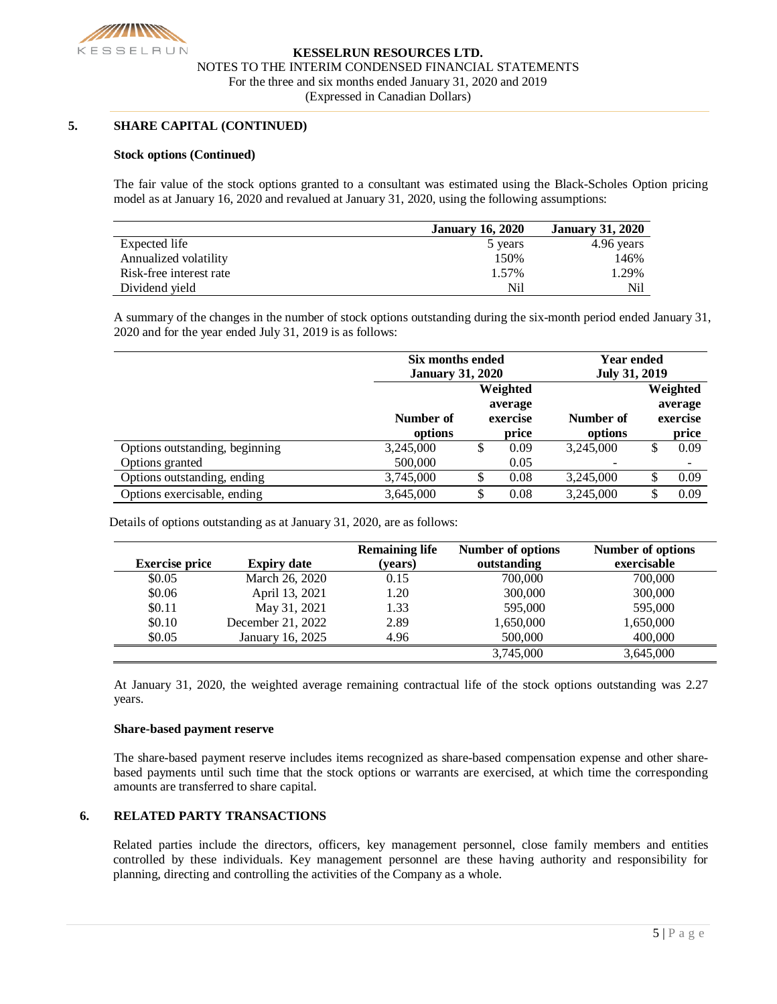

## **5. SHARE CAPITAL (CONTINUED)**

### **Stock options (Continued)**

The fair value of the stock options granted to a consultant was estimated using the Black-Scholes Option pricing model as at January 16, 2020 and revalued at January 31, 2020, using the following assumptions:

|                         | <b>January 16, 2020</b> | <b>January 31, 2020</b> |
|-------------------------|-------------------------|-------------------------|
| Expected life           | 5 years                 | 4.96 years              |
| Annualized volatility   | 150%                    | 146%                    |
| Risk-free interest rate | 1.57%                   | 1.29%                   |
| Dividend yield          | Nil                     | Nil                     |

A summary of the changes in the number of stock options outstanding during the six-month period ended January 31, 2020 and for the year ended July 31, 2019 is as follows:

|                                                | Six months ended<br><b>January 31, 2020</b> | <b>Year ended</b><br><b>July 31, 2019</b> |               |           |    |                      |  |                                          |
|------------------------------------------------|---------------------------------------------|-------------------------------------------|---------------|-----------|----|----------------------|--|------------------------------------------|
|                                                | Number of<br>options                        | Weighted<br>average<br>exercise           |               |           |    | Number of<br>options |  | Weighted<br>average<br>exercise<br>price |
| Options outstanding, beginning                 | 3,245,000                                   | \$                                        | price<br>0.09 | 3,245,000 | \$ | 0.09                 |  |                                          |
| Options granted<br>Options outstanding, ending | 500,000<br>3,745,000                        | \$                                        | 0.05<br>0.08  | 3,245,000 |    | 0.09                 |  |                                          |
| Options exercisable, ending                    | 3,645,000                                   | \$                                        | 0.08          | 3,245,000 | \$ | 0.09                 |  |                                          |

Details of options outstanding as at January 31, 2020, are as follows:

|                       |                    | <b>Remaining life</b> | Number of options | Number of options |
|-----------------------|--------------------|-----------------------|-------------------|-------------------|
| <b>Exercise price</b> | <b>Expiry date</b> | (vears)               | outstanding       | exercisable       |
| \$0.05                | March 26, 2020     | 0.15                  | 700,000           | 700,000           |
| \$0.06                | April 13, 2021     | 1.20                  | 300,000           | 300,000           |
| \$0.11                | May 31, 2021       | 1.33                  | 595,000           | 595,000           |
| \$0.10                | December 21, 2022  | 2.89                  | 1,650,000         | 1,650,000         |
| \$0.05                | January 16, 2025   | 4.96                  | 500,000           | 400,000           |
|                       |                    |                       | 3,745,000         | 3,645,000         |

At January 31, 2020, the weighted average remaining contractual life of the stock options outstanding was 2.27 years.

### **Share-based payment reserve**

The share-based payment reserve includes items recognized as share-based compensation expense and other sharebased payments until such time that the stock options or warrants are exercised, at which time the corresponding amounts are transferred to share capital.

### **6. RELATED PARTY TRANSACTIONS**

Related parties include the directors, officers, key management personnel, close family members and entities controlled by these individuals. Key management personnel are these having authority and responsibility for planning, directing and controlling the activities of the Company as a whole.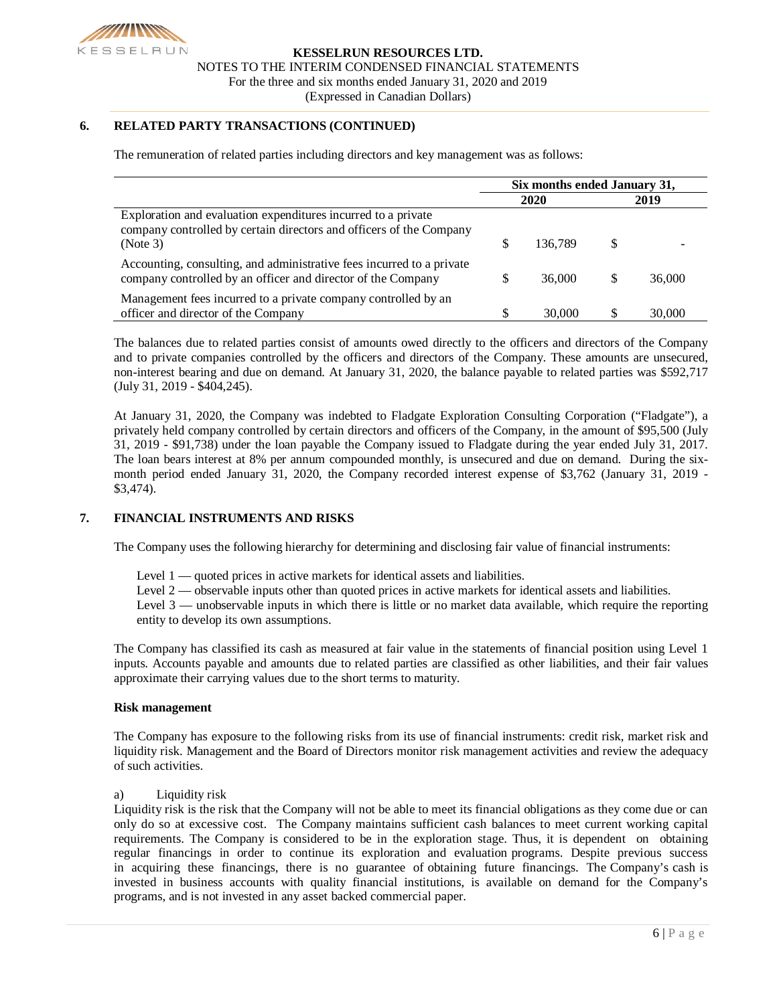

# **6. RELATED PARTY TRANSACTIONS (CONTINUED)**

The remuneration of related parties including directors and key management was as follows:

|                                                                                                                                                  | Six months ended January 31, |         |   |        |  |
|--------------------------------------------------------------------------------------------------------------------------------------------------|------------------------------|---------|---|--------|--|
|                                                                                                                                                  | 2020                         |         |   | 2019   |  |
| Exploration and evaluation expenditures incurred to a private<br>company controlled by certain directors and officers of the Company<br>(Note 3) |                              | 136,789 | S |        |  |
| Accounting, consulting, and administrative fees incurred to a private<br>company controlled by an officer and director of the Company            |                              | 36,000  |   | 36,000 |  |
| Management fees incurred to a private company controlled by an<br>officer and director of the Company                                            |                              | 30,000  |   | 30,000 |  |

The balances due to related parties consist of amounts owed directly to the officers and directors of the Company and to private companies controlled by the officers and directors of the Company. These amounts are unsecured, non-interest bearing and due on demand. At January 31, 2020, the balance payable to related parties was \$592,717 (July 31, 2019 - \$404,245).

At January 31, 2020, the Company was indebted to Fladgate Exploration Consulting Corporation ("Fladgate"), a privately held company controlled by certain directors and officers of the Company, in the amount of \$95,500 (July 31, 2019 - \$91,738) under the loan payable the Company issued to Fladgate during the year ended July 31, 2017. The loan bears interest at 8% per annum compounded monthly, is unsecured and due on demand. During the sixmonth period ended January 31, 2020, the Company recorded interest expense of \$3,762 (January 31, 2019 - \$3,474).

### **7. FINANCIAL INSTRUMENTS AND RISKS**

The Company uses the following hierarchy for determining and disclosing fair value of financial instruments:

- Level 1 quoted prices in active markets for identical assets and liabilities.
- Level 2 observable inputs other than quoted prices in active markets for identical assets and liabilities.

Level  $3$  — unobservable inputs in which there is little or no market data available, which require the reporting entity to develop its own assumptions.

The Company has classified its cash as measured at fair value in the statements of financial position using Level 1 inputs. Accounts payable and amounts due to related parties are classified as other liabilities, and their fair values approximate their carrying values due to the short terms to maturity.

### **Risk management**

The Company has exposure to the following risks from its use of financial instruments: credit risk, market risk and liquidity risk. Management and the Board of Directors monitor risk management activities and review the adequacy of such activities.

### a) Liquidity risk

Liquidity risk is the risk that the Company will not be able to meet its financial obligations as they come due or can only do so at excessive cost. The Company maintains sufficient cash balances to meet current working capital requirements. The Company is considered to be in the exploration stage. Thus, it is dependent on obtaining regular financings in order to continue its exploration and evaluation programs. Despite previous success in acquiring these financings, there is no guarantee of obtaining future financings. The Company's cash is invested in business accounts with quality financial institutions, is available on demand for the Company's programs, and is not invested in any asset backed commercial paper.